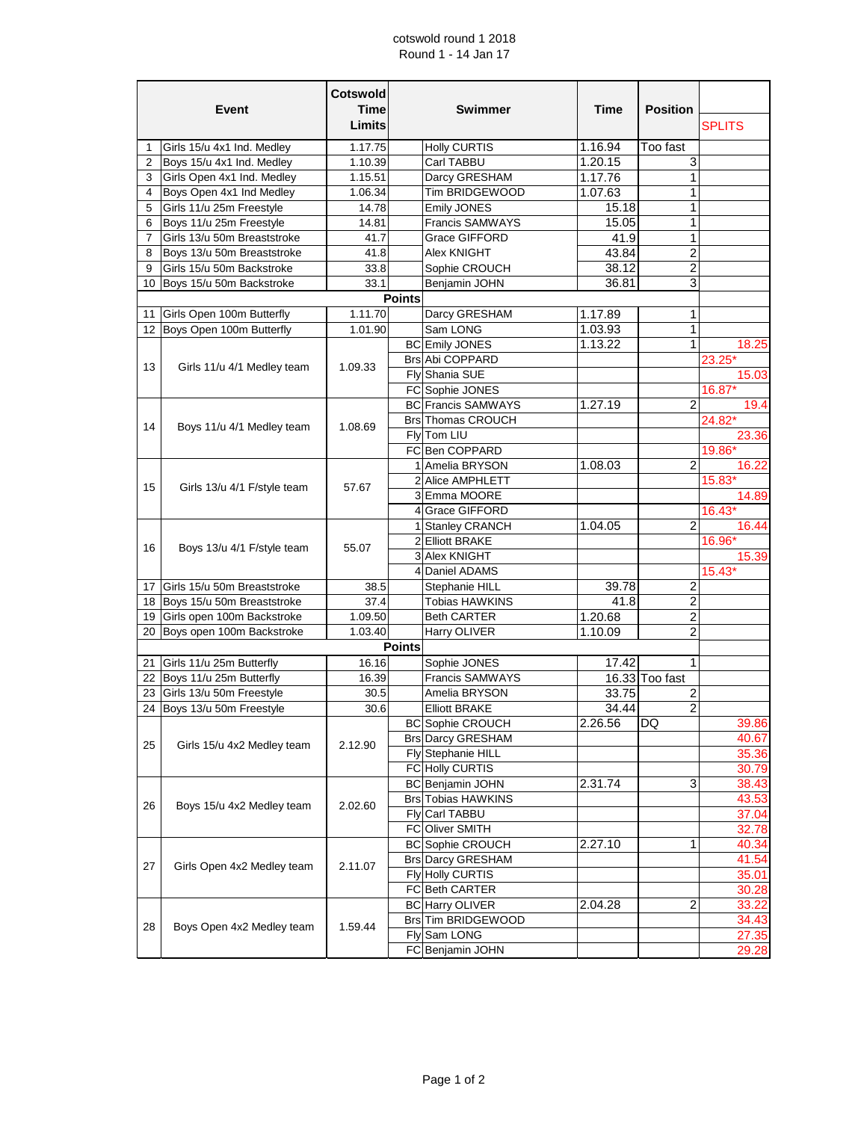## cotswold round 1 2018 Round 1 - 14 Jan 17

| Event          |                                                         | <b>Cotswold</b><br><b>Time</b><br>Limits |               | <b>Swimmer</b>            | Time    | <b>Position</b>         | <b>SPLITS</b> |
|----------------|---------------------------------------------------------|------------------------------------------|---------------|---------------------------|---------|-------------------------|---------------|
| 1              |                                                         | 1.17.75                                  |               | <b>Holly CURTIS</b>       | 1.16.94 | Too fast                |               |
| $\overline{2}$ | Girls 15/u 4x1 Ind. Medley<br>Boys 15/u 4x1 Ind. Medley | 1.10.39                                  |               | Carl TABBU                | 1.20.15 | 3                       |               |
| 3              | Girls Open 4x1 Ind. Medley                              | 1.15.51                                  |               | Darcy GRESHAM             | 1.17.76 | 1                       |               |
| 4              | Boys Open 4x1 Ind Medley                                | 1.06.34                                  |               | Tim BRIDGEWOOD            | 1.07.63 | 1                       |               |
| 5              | Girls 11/u 25m Freestyle                                | 14.78                                    |               | Emily JONES               | 15.18   | 1                       |               |
| 6              | Boys 11/u 25m Freestyle                                 | 14.81                                    |               | <b>Francis SAMWAYS</b>    | 15.05   | 1                       |               |
| $\overline{7}$ | Girls 13/u 50m Breaststroke                             | 41.7                                     |               | <b>Grace GIFFORD</b>      | 41.9    | 1                       |               |
| 8              | Boys 13/u 50m Breaststroke                              | 41.8                                     |               | Alex KNIGHT               | 43.84   | $\overline{c}$          |               |
| 9              | Girls 15/u 50m Backstroke                               | 33.8                                     |               | Sophie CROUCH             | 38.12   | $\overline{c}$          |               |
|                | 10 Boys 15/u 50m Backstroke                             | 33.1                                     |               | Benjamin JOHN             | 36.81   | 3                       |               |
|                |                                                         |                                          | <b>Points</b> |                           |         |                         |               |
| 11             | Girls Open 100m Butterfly                               | 1.11.70                                  |               | Darcy GRESHAM             | 1.17.89 | 1                       |               |
|                | 12 Boys Open 100m Butterfly                             | 1.01.90                                  |               | Sam LONG                  | 1.03.93 | 1                       |               |
|                |                                                         |                                          |               | <b>BC</b> Emily JONES     | 1.13.22 | 1                       | 18.25         |
|                | Girls 11/u 4/1 Medley team                              |                                          |               | <b>Brs Abi COPPARD</b>    |         |                         | 23.25*        |
| 13             |                                                         | 1.09.33                                  |               | Flv Shania SUE            |         |                         | 15.03         |
|                |                                                         |                                          |               | FC Sophie JONES           |         |                         | 16.87*        |
|                |                                                         |                                          |               | <b>BC</b> Francis SAMWAYS | 1.27.19 | $\overline{2}$          | 19.4          |
|                |                                                         |                                          |               | Brs Thomas CROUCH         |         |                         | 24.82*        |
| 14             | Boys 11/u 4/1 Medley team                               | 1.08.69                                  |               | Fly Tom LIU               |         |                         | 23.36         |
|                |                                                         |                                          |               | FC Ben COPPARD            |         |                         | 19.86*        |
|                |                                                         |                                          |               | 1 Amelia BRYSON           | 1.08.03 | $\overline{2}$          | 16.22         |
|                |                                                         |                                          |               | 2 Alice AMPHLETT          |         |                         | 15.83*        |
| 15             | Girls 13/u 4/1 F/style team                             | 57.67                                    |               | 3 Emma MOORE              |         |                         | 14.89         |
|                |                                                         |                                          |               | 4 Grace GIFFORD           |         |                         | $16.43*$      |
|                |                                                         |                                          |               | 1 Stanley CRANCH          | 1.04.05 | $\overline{2}$          | 16.44         |
|                | Boys 13/u 4/1 F/style team                              |                                          |               | 2 Elliott BRAKE           |         |                         | 16.96*        |
| 16             |                                                         | 55.07                                    |               | 3 Alex KNIGHT             |         |                         | 15.39         |
|                |                                                         |                                          |               | 4 Daniel ADAMS            |         |                         | 15.43*        |
| 17             | Girls 15/u 50m Breaststroke                             | 38.5                                     |               | Stephanie HILL            | 39.78   | $\overline{\mathbf{c}}$ |               |
|                | 18 Boys 15/u 50m Breaststroke                           | 37.4                                     |               | Tobias HAWKINS            | 41.8    | $\overline{\mathbf{c}}$ |               |
|                | 19 Girls open 100m Backstroke                           | 1.09.50                                  |               | <b>Beth CARTER</b>        | 1.20.68 | $\overline{2}$          |               |
|                | 20 Boys open 100m Backstroke                            | 1.03.40                                  |               | Harry OLIVER              | 1.10.09 | $\overline{2}$          |               |
|                |                                                         |                                          | <b>Points</b> |                           |         |                         |               |
| 21             | Girls 11/u 25m Butterfly                                | 16.16                                    |               | Sophie JONES              | 17.42   | 1                       |               |
|                | 22 Boys 11/u 25m Butterfly                              | 16.39                                    |               | <b>Francis SAMWAYS</b>    |         | 16.33 Too fast          |               |
|                | 23 Girls 13/u 50m Freestyle                             | 30.5                                     |               | Amelia BRYSON             | 33.75   | 2                       |               |
|                | 24 Boys 13/u 50m Freestyle                              | 30.6                                     |               | <b>Elliott BRAKE</b>      | 34.44   | $\overline{c}$          |               |
|                |                                                         |                                          |               | <b>BC</b> Sophie CROUCH   | 2.26.56 | DQ                      | 39.86         |
|                | Girls 15/u 4x2 Medley team                              | 2.12.90                                  |               | <b>Brs Darcy GRESHAM</b>  |         |                         | 40.67         |
| 25             |                                                         |                                          |               | Fly Stephanie HILL        |         |                         | 35.36         |
|                |                                                         |                                          |               | FC Holly CURTIS           |         |                         | 30.79         |
|                | Boys 15/u 4x2 Medley team                               | 2.02.60                                  |               | BC Benjamin JOHN          | 2.31.74 | 3                       | 38.43         |
| 26             |                                                         |                                          |               | Brs Tobias HAWKINS        |         |                         | 43.53         |
|                |                                                         |                                          |               | Fly Carl TABBU            |         |                         | 37.04         |
|                |                                                         |                                          |               | FC Oliver SMITH           |         |                         | 32.78         |
| 27             | Girls Open 4x2 Medley team                              | 2.11.07                                  |               | <b>BC</b> Sophie CROUCH   | 2.27.10 | 1                       | 40.34         |
|                |                                                         |                                          |               | <b>Brs Darcy GRESHAM</b>  |         |                         | 41.54         |
|                |                                                         |                                          |               | Fly Holly CURTIS          |         |                         | 35.01         |
|                |                                                         |                                          |               | FC Beth CARTER            |         |                         | 30.28         |
| 28             | Boys Open 4x2 Medley team                               | 1.59.44                                  |               | <b>BC</b> Harry OLIVER    | 2.04.28 | 2                       | 33.22         |
|                |                                                         |                                          |               | Brs Tim BRIDGEWOOD        |         |                         | 34.43         |
|                |                                                         |                                          |               | Fly Sam LONG              |         |                         | 27.35         |
|                |                                                         |                                          |               | FC Benjamin JOHN          |         |                         | 29.28         |